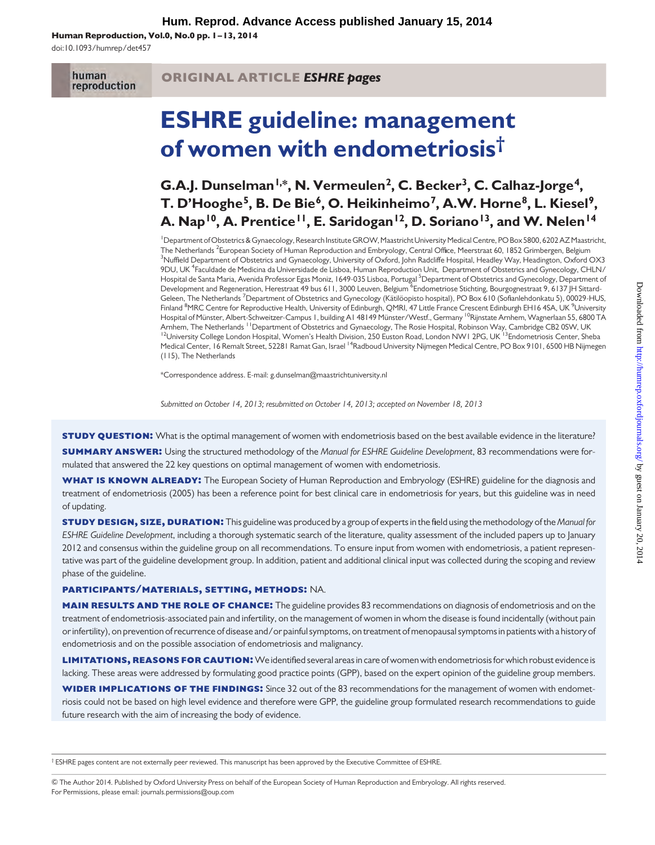Human Reproduction, Vol.0, No.0 pp. 1 –13, 2014

doi:10.1093/humrep/det457

human reproduction

#### ORIGINAL ARTICLE ESHRE pages

# ESHRE guideline: management of women with endometriosis†

G.A.J. Dunselman<sup>1,\*</sup>, N. Vermeulen<sup>2</sup>, C. Becker<sup>3</sup>, C. Calhaz-Jorge<sup>4</sup>, T. D'Hooghe<sup>5</sup>, B. De Bie<sup>6</sup>, O. Heikinheimo<sup>7</sup>, A.W. Horne<sup>8</sup>, L. Kiesel<sup>9</sup>, A. Nap<sup>10</sup>, A. Prentice<sup>11</sup>, E. Saridogan<sup>12</sup>, D. Soriano<sup>13</sup>, and W. Nelen<sup>14</sup>

1 Department ofObstetrics & Gynaecology, Research Institute GROW, MaastrichtUniversity Medical Centre, PO Box 5800, 6202 AZ Maastricht, The Netherlands <sup>2</sup>European Society of Human Reproduction and Embryology, Central Office, Meerstraat 60, 1852 Grimbergen, Belgium<br><sup>3</sup>Nuffield Department of Obstetries and Gynaecology, University of Oxford, John Badcliffe H  $^3$ Nuffield Department of Obstetrics and Gynaecology, University of Oxford, John Radcliffe Hospital, Headley Way, Headington, Oxford OX3 9DU, UK <sup>4</sup> Faculdade de Medicina da Universidade de Lisboa, Human Reproduction Unit, Department of Obstetrics and Gynecology, CHLN/ Hospital de Santa Maria, Avenida Professor Egas Moniz, 1649-035 Lisboa, Portugal <sup>5</sup>Department of Obstetrics and Gynecology, Department of Development and Regeneration, Herestraat 49 bus 611, 3000 Leuven, Belgium <sup>6</sup>Endometriose Stichting, Bourgognestraat 9, 6137 JH Sittard-Geleen, The Netherlands <sup>7</sup>Department of Obstetrics and Gynecology (Kätilöopisto hospital), PO Box 610 (Sofianlehdonkatu 5), 00029-HUS, Finland <sup>8</sup>MRC Centre for Reproductive Health, University of Edinburgh, QMRI, 47 Little France Crescent Edinburgh EH16 4SA, UK <sup>9</sup>University Hospital of Münster, Albert-Schweitzer-Campus 1, building A1 48149 Münster/Westf., Germany <sup>10</sup>Rijnstate Arnhem, Wagnerlaan 55, 6800 TA Arnhem, The Netherlands <sup>I I</sup>Department of Obstetrics and Gynaecology, The Rosie Hospital, Robinson Way, Cambridge CB2 0SW, UK<br><sup>12</sup>University College London Hospital, Women's Health Division, 250 Euston Road, London NW I 2 Medical Center, 16 Remalt Street, 52281 Ramat Gan, Israel <sup>14</sup>Radboud University Nijmegen Medical Centre, PO Box 9101, 6500 HB Nijmegen (115), The Netherlands

\*Correspondence address. E-mail: g.dunselman@maastrichtuniversity.nl

Submitted on October 14, 2013; resubmitted on October 14, 2013; accepted on November 18, 2013

**STUDY QUESTION:** What is the optimal management of women with endometriosis based on the best available evidence in the literature?

**SUMMARY ANSWER:** Using the structured methodology of the Manual for ESHRE Guideline Development, 83 recommendations were formulated that answered the 22 key questions on optimal management of women with endometriosis.

WHAT IS KNOWN ALREADY: The European Society of Human Reproduction and Embryology (ESHRE) guideline for the diagnosis and treatment of endometriosis (2005) has been a reference point for best clinical care in endometriosis for years, but this guideline was in need of updating.

**STUDY DESIGN, SIZE, DURATION:** This guideline was produced by a group of experts in the field using the methodology of the Manual for ESHRE Guideline Development, including a thorough systematic search of the literature, quality assessment of the included papers up to January 2012 and consensus within the guideline group on all recommendations. To ensure input from women with endometriosis, a patient representative was part of the guideline development group. In addition, patient and additional clinical input was collected during the scoping and review phase of the guideline.

#### participants/materials, setting, methods: NA.

MAIN RESULTS AND THE ROLE OF CHANCE: The guideline provides 83 recommendations on diagnosis of endometriosis and on the treatment of endometriosis-associated pain and infertility, on the management of women in whom the disease is found incidentally (without pain or infertility), on prevention of recurrence of disease and/or painful symptoms, on treatment of menopausal symptoms in patients with a history of endometriosis and on the possible association of endometriosis and malignancy.

LIMITATIONS, REASONS FOR CAUTION: We identified several areas in care of women with endometriosis for which robust evidence is lacking. These areas were addressed by formulating good practice points (GPP), based on the expert opinion of the guideline group members.

WIDER IMPLICATIONS OF THE FINDINGS: Since 32 out of the 83 recommendations for the management of women with endometriosis could not be based on high level evidence and therefore were GPP, the guideline group formulated research recommendations to guide future research with the aim of increasing the body of evidence.

† ESHRE pages content are not externally peer reviewed. This manuscript has been approved by the Executive Committee of ESHRE.

& The Author 2014. Published by Oxford University Press on behalf of the European Society of Human Reproduction and Embryology. All rights reserved. For Permissions, please email: journals.permissions@oup.com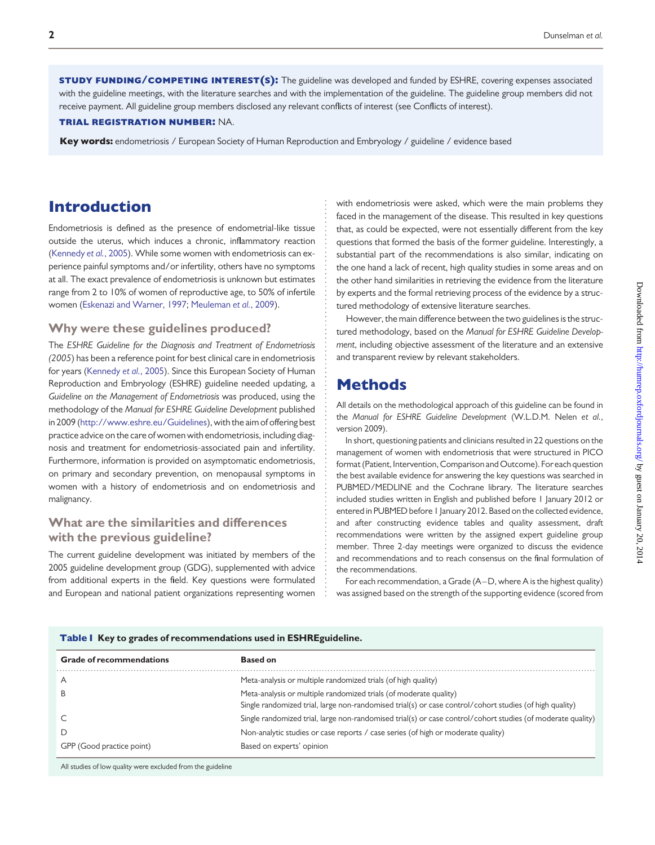<span id="page-1-0"></span>**STUDY FUNDING/COMPETING INTEREST(S):** The guideline was developed and funded by ESHRE, covering expenses associated with the guideline meetings, with the literature searches and with the implementation of the guideline. The guideline group members did not receive payment. All guideline group members disclosed any relevant conflicts of interest (see Conflicts of interest).

#### trial registration number: NA.

Key words: endometriosis / European Society of Human Reproduction and Embryology / guideline / evidence based

### Introduction

Endometriosis is defined as the presence of endometrial-like tissue outside the uterus, which induces a chronic, inflammatory reaction [\(Kennedy](#page-11-0) et al., 2005). While some women with endometriosis can experience painful symptoms and/or infertility, others have no symptoms at all. The exact prevalence of endometriosis is unknown but estimates range from 2 to 10% of women of reproductive age, to 50% of infertile women [\(Eskenazi and Warner, 1997](#page-10-0); [Meuleman](#page-11-0) et al., 2009).

#### Why were these guidelines produced?

The ESHRE Guideline for the Diagnosis and Treatment of Endometriosis (2005) has been a reference point for best clinical care in endometriosis for years [\(Kennedy](#page-11-0) et al., 2005). Since this European Society of Human Reproduction and Embryology (ESHRE) guideline needed updating, a Guideline on the Management of Endometriosis was produced, using the methodology of the Manual for ESHRE Guideline Development published in 2009 [\(http://www.eshre.eu/Guidelines\)](http://www.eshre.eu/Guidelines), with the aim of offering best practice advice on the care of women with endometriosis, including diagnosis and treatment for endometriosis-associated pain and infertility. Furthermore, information is provided on asymptomatic endometriosis, on primary and secondary prevention, on menopausal symptoms in women with a history of endometriosis and on endometriosis and malignancy.

#### What are the similarities and differences with the previous guideline?

The current guideline development was initiated by members of the 2005 guideline development group (GDG), supplemented with advice from additional experts in the field. Key questions were formulated and European and national patient organizations representing women with endometriosis were asked, which were the main problems they faced in the management of the disease. This resulted in key questions that, as could be expected, were not essentially different from the key questions that formed the basis of the former guideline. Interestingly, a substantial part of the recommendations is also similar, indicating on the one hand a lack of recent, high quality studies in some areas and on the other hand similarities in retrieving the evidence from the literature by experts and the formal retrieving process of the evidence by a structured methodology of extensive literature searches.

However, the main difference between the two guidelines is the structured methodology, based on the Manual for ESHRE Guideline Development, including objective assessment of the literature and an extensive and transparent review by relevant stakeholders.

#### **Methods**

All details on the methodological approach of this guideline can be found in the Manual for ESHRE Guideline Development (W.L.D.M. Nelen et al., version 2009).

In short, questioning patients and clinicians resulted in 22 questions on the management of women with endometriosis that were structured in PICO format (Patient, Intervention, Comparison and Outcome). Foreach question the best available evidence for answering the key questions was searched in PUBMED/MEDLINE and the Cochrane library. The literature searches included studies written in English and published before 1 January 2012 or entered in PUBMED before 1 January 2012. Based on the collected evidence, and after constructing evidence tables and quality assessment, draft recommendations were written by the assigned expert guideline group member. Three 2-day meetings were organized to discuss the evidence and recommendations and to reach consensus on the final formulation of the recommendations.

For each recommendation, a Grade (A-D, where A is the highest quality) was assigned based on the strength of the supporting evidence (scored from

#### Table I Key to grades of recommendations used in ESHREguideline.

| <b>Grade of recommendations</b> | <b>Based on</b>                                                                                                                                                              |
|---------------------------------|------------------------------------------------------------------------------------------------------------------------------------------------------------------------------|
|                                 | Meta-analysis or multiple randomized trials (of high quality)                                                                                                                |
|                                 | Meta-analysis or multiple randomized trials (of moderate quality)<br>Single randomized trial, large non-randomised trial(s) or case control/cohort studies (of high quality) |
|                                 | Single randomized trial, large non-randomised trial(s) or case control/cohort studies (of moderate quality)                                                                  |
|                                 | Non-analytic studies or case reports / case series (of high or moderate quality)                                                                                             |
| GPP (Good practice point)       | Based on experts' opinion                                                                                                                                                    |

All studies of low quality were excluded from the guideline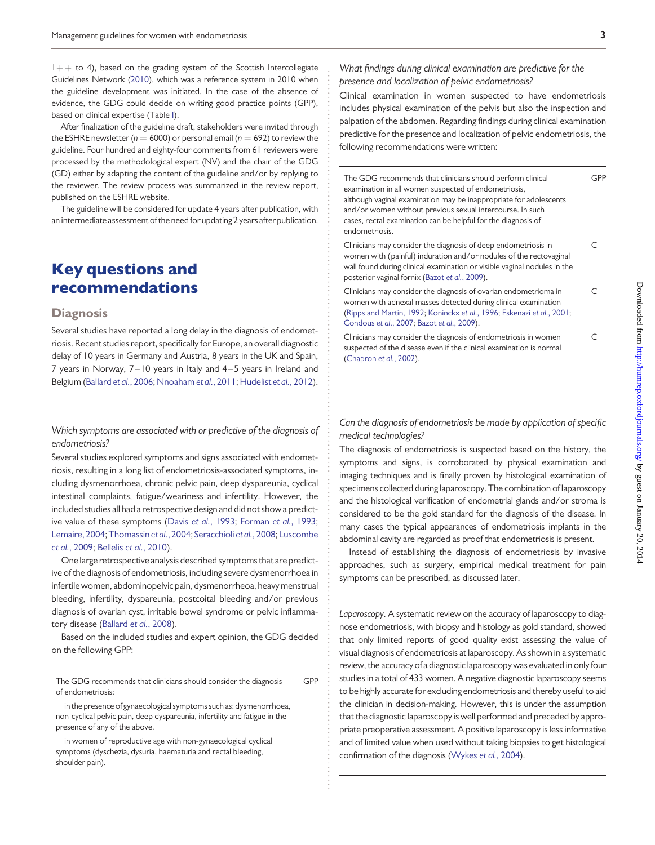$1++$  to 4), based on the grading system of the Scottish Intercollegiate Guidelines Network [\(2010](#page-12-0)), which was a reference system in 2010 when the guideline development was initiated. In the case of the absence of evidence, the GDG could decide on writing good practice points (GPP), based on clinical expertise (Table [I\)](#page-1-0).

After finalization of the guideline draft, stakeholders were invited through the ESHRE newsletter ( $n = 6000$ ) or personal email ( $n = 692$ ) to review the guideline. Four hundred and eighty-four comments from 61 reviewers were processed by the methodological expert (NV) and the chair of the GDG (GD) either by adapting the content of the guideline and/or by replying to the reviewer. The review process was summarized in the review report, published on the ESHRE website.

The guideline will be considered for update 4 years after publication, with an intermediate assessment of the need for updating 2 years after publication.

## Key questions and recommendations

#### **Diagnosis**

Several studies have reported a long delay in the diagnosis of endometriosis. Recent studies report, specifically for Europe, an overall diagnostic delay of 10 years in Germany and Austria, 8 years in the UK and Spain, 7 years in Norway, 7 –10 years in Italy and 4–5 years in Ireland and Belgium [\(Ballard](#page-9-0) et al., 2006; [Nnoaham](#page-11-0) et al., 2011; [Hudelist](#page-10-0) et al., 2012).

Which symptoms are associated with or predictive of the diagnosis of endometriosis?

Several studies explored symptoms and signs associated with endometriosis, resulting in a long list of endometriosis-associated symptoms, including dysmenorrhoea, chronic pelvic pain, deep dyspareunia, cyclical intestinal complaints, fatigue/weariness and infertility. However, the included studies all had a retrospective design and did not show a predictive value of these symptoms (Davis et al.[, 1993;](#page-10-0) [Forman](#page-10-0) et al., 1993; [Lemaire, 2004](#page-11-0); [Thomassin](#page-12-0) et al., 2004; [Seracchioli](#page-12-0) et al., 2008; [Luscombe](#page-11-0) et al.[, 2009;](#page-11-0) [Bellelis](#page-9-0) et al., 2010).

One large retrospective analysis described symptoms that are predictive of the diagnosis of endometriosis, including severe dysmenorrhoea in infertile women, abdominopelvic pain, dysmenorrheoa, heavy menstrual bleeding, infertility, dyspareunia, postcoital bleeding and/or previous diagnosis of ovarian cyst, irritable bowel syndrome or pelvic inflammatory disease ([Ballard](#page-9-0) et al., 2008).

Based on the included studies and expert opinion, the GDG decided on the following GPP:

The GDG recommends that clinicians should consider the diagnosis of endometriosis: GPP

in the presence of gynaecological symptoms such as: dysmenorrhoea, non-cyclical pelvic pain, deep dyspareunia, infertility and fatigue in the presence of any of the above.

in women of reproductive age with non-gynaecological cyclical symptoms (dyschezia, dysuria, haematuria and rectal bleeding, shoulder pain).

What findings during clinical examination are predictive for the presence and localization of pelvic endometriosis?

Clinical examination in women suspected to have endometriosis includes physical examination of the pelvis but also the inspection and palpation of the abdomen. Regarding findings during clinical examination predictive for the presence and localization of pelvic endometriosis, the following recommendations were written:

The GDG recommends that clinicians should perform clinical examination in all women suspected of endometriosis, although vaginal examination may be inappropriate for adolescents and/or women without previous sexual intercourse. In such cases, rectal examination can be helpful for the diagnosis of endometriosis.

Clinicians may consider the diagnosis of deep endometriosis in women with (painful) induration and/or nodules of the rectovaginal wall found during clinical examination or visible vaginal nodules in the posterior vaginal fornix (Bazot et al.[, 2009\)](#page-9-0).

Clinicians may consider the diagnosis of ovarian endometrioma in women with adnexal masses detected during clinical examination [\(Ripps and Martin, 1992;](#page-12-0) [Koninckx](#page-11-0) et al., 1996; [Eskenazi](#page-10-0) et al., 2001; [Condous](#page-10-0) et al., 2007; Bazot et al[., 2009](#page-9-0)).

Clinicians may consider the diagnosis of endometriosis in women suspected of the disease even if the clinical examination is normal [\(Chapron](#page-10-0) et al., 2002).

#### Can the diagnosis of endometriosis be made by application of specific medical technologies?

The diagnosis of endometriosis is suspected based on the history, the symptoms and signs, is corroborated by physical examination and imaging techniques and is finally proven by histological examination of specimens collected during laparoscopy. The combination of laparoscopy and the histological verification of endometrial glands and/or stroma is considered to be the gold standard for the diagnosis of the disease. In many cases the typical appearances of endometriosis implants in the abdominal cavity are regarded as proof that endometriosis is present.

Instead of establishing the diagnosis of endometriosis by invasive approaches, such as surgery, empirical medical treatment for pain symptoms can be prescribed, as discussed later.

Laparoscopy. A systematic review on the accuracy of laparoscopy to diagnose endometriosis, with biopsy and histology as gold standard, showed that only limited reports of good quality exist assessing the value of visual diagnosis of endometriosis at laparoscopy. As shown in a systematic review, the accuracy of a diagnostic laparoscopy was evaluated in only four studies in a total of 433 women. A negative diagnostic laparoscopy seems to be highly accurate for excluding endometriosis and thereby useful to aid the clinician in decision-making. However, this is under the assumption that the diagnostic laparoscopy is well performed and preceded by appropriate preoperative assessment. A positive laparoscopy is less informative and of limited value when used without taking biopsies to get histological confirmation of the diagnosis ([Wykes](#page-12-0) et al., 2004).

GPP

C

 $\subset$ 

C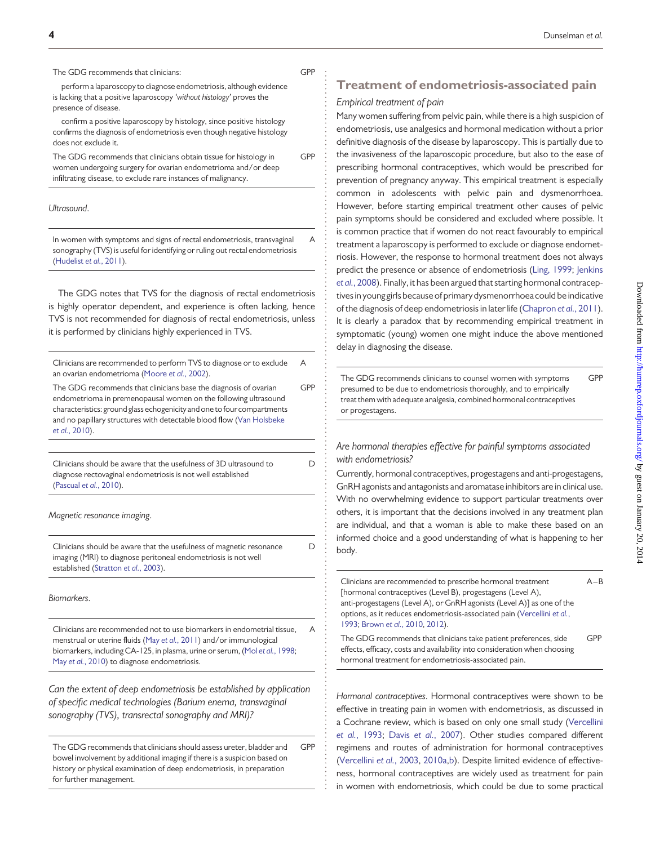perform a laparoscopy to diagnose endometriosis, although evidence is lacking that a positive laparoscopy 'without histology' proves the presence of disease.

confirm a positive laparoscopy by histology, since positive histology confirms the diagnosis of endometriosis even though negative histology does not exclude it.

The GDG recommends that clinicians obtain tissue for histology in women undergoing surgery for ovarian endometrioma and/or deep infiltrating disease, to exclude rare instances of malignancy. GPP

#### Ultrasound.

In women with symptoms and signs of rectal endometriosis, transvaginal sonography (TVS) is useful for identifying or ruling out rectal endometriosis ([Hudelist](#page-10-0) et al., 2011).

The GDG notes that TVS for the diagnosis of rectal endometriosis is highly operator dependent, and experience is often lacking, hence TVS is not recommended for diagnosis of rectal endometriosis, unless it is performed by clinicians highly experienced in TVS.

Clinicians are recommended to perform TVS to diagnose or to exclude an ovarian endometrioma ([Moore](#page-11-0) et al., 2002). A

The GDG recommends that clinicians base the diagnosis of ovarian endometrioma in premenopausal women on the following ultrasound characteristics: ground glass echogenicity and one to four compartments and no papillary structures with detectable blood flow [\(Van Holsbeke](#page-12-0) et al.[, 2010\)](#page-12-0). GPP

Clinicians should be aware that the usefulness of 3D ultrasound to diagnose rectovaginal endometriosis is not well established ([Pascual](#page-11-0) et al., 2010).

Magnetic resonance imaging.

Clinicians should be aware that the usefulness of magnetic resonance imaging (MRI) to diagnose peritoneal endometriosis is not well established [\(Stratton](#page-12-0) et al., 2003).

#### Biomarkers.

Clinicians are recommended not to use biomarkers in endometrial tissue, menstrual or uterine fluids (May et al.[, 2011](#page-11-0)) and/or immunological biomarkers, including CA-125, in plasma, urine or serum, (Mol et al.[, 1998;](#page-11-0) May et al.[, 2010\)](#page-11-0) to diagnose endometriosis.

Can the extent of deep endometriosis be established by application of specific medical technologies (Barium enema, transvaginal sonography (TVS), transrectal sonography and MRI)?

The GDG recommends that clinicians should assess ureter, bladder and bowel involvement by additional imaging if there is a suspicion based on history or physical examination of deep endometriosis, in preparation for further management. **GPF** 

## Treatment of endometriosis-associated pain

#### Empirical treatment of pain

A

 $\mathsf{D}$ 

 $\overline{D}$ 

A

Many women suffering from pelvic pain, while there is a high suspicion of endometriosis, use analgesics and hormonal medication without a prior definitive diagnosis of the disease by laparoscopy. This is partially due to the invasiveness of the laparoscopic procedure, but also to the ease of prescribing hormonal contraceptives, which would be prescribed for prevention of pregnancy anyway. This empirical treatment is especially common in adolescents with pelvic pain and dysmenorrhoea. However, before starting empirical treatment other causes of pelvic pain symptoms should be considered and excluded where possible. It is common practice that if women do not react favourably to empirical treatment a laparoscopy is performed to exclude or diagnose endometriosis. However, the response to hormonal treatment does not always predict the presence or absence of endometriosis [\(Ling, 1999;](#page-11-0) [Jenkins](#page-11-0) et al.[, 2008](#page-11-0)). Finally, it has been argued that starting hormonal contraceptives in young girls because of primary dysmenorrhoea could be indicative of the diagnosis of deep endometriosis in later life ([Chapron](#page-10-0) et al., 2011). It is clearly a paradox that by recommending empirical treatment in symptomatic (young) women one might induce the above mentioned delay in diagnosing the disease.

The GDG recommends clinicians to counsel women with symptoms presumed to be due to endometriosis thoroughly, and to empirically treat them with adequate analgesia, combined hormonal contraceptives or progestagens. GPP

#### Are hormonal therapies effective for painful symptoms associated with endometriosis?

Currently, hormonal contraceptives, progestagens and anti-progestagens, GnRH agonists and antagonists and aromatase inhibitors are in clinical use. With no overwhelming evidence to support particular treatments over others, it is important that the decisions involved in any treatment plan are individual, and that a woman is able to make these based on an informed choice and a good understanding of what is happening to her body.

Clinicians are recommended to prescribe hormonal treatment [hormonal contraceptives (Level B), progestagens (Level A), anti-progestagens (Level A), or GnRH agonists (Level A)] as one of the options, as it reduces endometriosis-associated pain [\(Vercellini](#page-12-0) et al., [1993;](#page-12-0) [Brown](#page-10-0) et al., 2010, [2012](#page-10-0)). A–B

The GDG recommends that clinicians take patient preferences, side effects, efficacy, costs and availability into consideration when choosing hormonal treatment for endometriosis-associated pain. GPP

Hormonal contraceptives. Hormonal contraceptives were shown to be effective in treating pain in women with endometriosis, as discussed in a Cochrane review, which is based on only one small study ([Vercellini](#page-12-0) et al.[, 1993;](#page-12-0) Davis et al.[, 2007](#page-10-0)). Other studies compared different regimens and routes of administration for hormonal contraceptives ([Vercellini](#page-12-0) et al., 2003, [2010a,b\)](#page-12-0). Despite limited evidence of effectiveness, hormonal contraceptives are widely used as treatment for pain in women with endometriosis, which could be due to some practical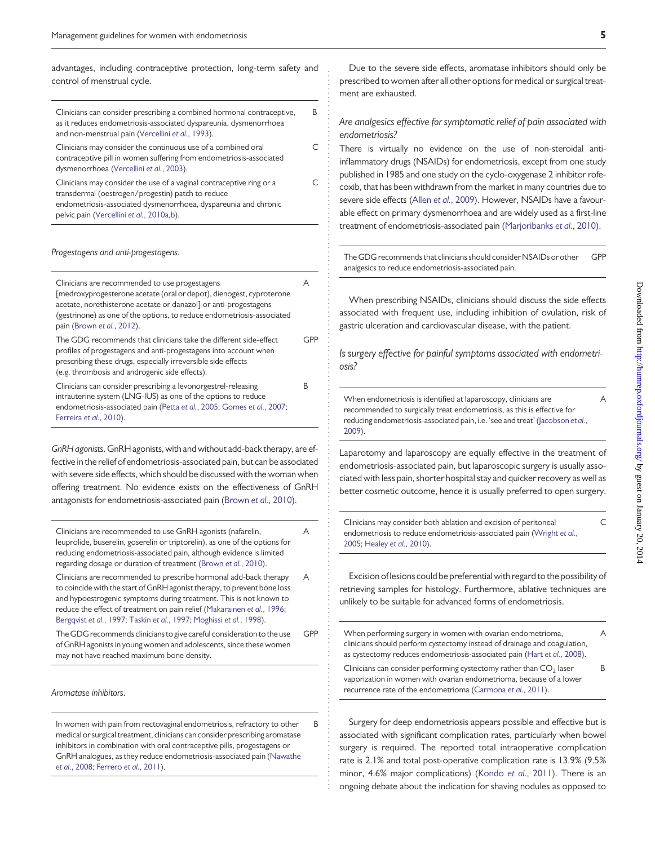advantages, including contraceptive protection, long-term safety and control of menstrual cycle.

| Clinicians can consider prescribing a combined hormonal contraceptive,<br>as it reduces endometriosis-associated dyspareunia, dysmenorrhoea<br>and non-menstrual pain (Vercellini et al., 1993). | B |
|--------------------------------------------------------------------------------------------------------------------------------------------------------------------------------------------------|---|
| Clinicians may consider the continuous use of a combined oral<br>contraceptive pill in women suffering from endometriosis-associated<br>dysmenorrhoea (Vercellini et al., 2003).                 |   |
| Clinicians may consider the use of a vaginal contraceptive ring or a<br>transdermal (oestrogen/progestin) patch to reduce<br>endometriosis-associated dysmenorrhoea, dyspareunia and chronic     | ⊂ |

Progestagens and anti-progestagens.

pelvic pain [\(Vercellini](#page-12-0) et al., 2010a,[b\)](#page-12-0).

Clinicians are recommended to use progestagens [medroxyprogesterone acetate (oral or depot), dienogest, cyproterone acetate, norethisterone acetate or danazol] or anti-progestagens (gestrinone) as one of the options, to reduce endometriosis-associated pain ([Brown](#page-10-0) et al., 2012). A The GDG recommends that clinicians take the different side-effect profiles of progestagens and anti-progestagens into account when prescribing these drugs, especially irreversible side effects (e.g. thrombosis and androgenic side effects). GPP B

Clinicians can consider prescribing a levonorgestrel-releasing intrauterine system (LNG-IUS) as one of the options to reduce endometriosis-associated pain (Petta et al.[, 2005](#page-11-0); [Gomes](#page-10-0) et al., 2007; [Ferreira](#page-10-0) et al., 2010).

GnRH agonists. GnRH agonists, with and without add-back therapy, are effective in the relief of endometriosis-associated pain, but can be associated with severe side effects, which should be discussed with the woman when offering treatment. No evidence exists on the effectiveness of GnRH antagonists for endometriosis-associated pain ([Brown](#page-10-0) et al., 2010).

A

B

Clinicians are recommended to use GnRH agonists (nafarelin, leuprolide, buserelin, goserelin or triptorelin), as one of the options for reducing endometriosis-associated pain, although evidence is limited regarding dosage or duration of treatment [\(Brown](#page-10-0) et al., 2010).

Clinicians are recommended to prescribe hormonal add-back therapy to coincide with the start of GnRH agonist therapy, to prevent bone loss and hypoestrogenic symptoms during treatment. This is not known to reduce the effect of treatment on pain relief [\(Makarainen](#page-11-0) et al., 1996; [Bergqvist](#page-10-0) et al., 1997; [Taskin](#page-12-0) et al., 1997; [Moghissi](#page-11-0) et al., 1998). A

The GDG recommends clinicians to give careful consideration to the use of GnRH agonists in young women and adolescents, since these women may not have reached maximum bone density. GPP

Aromatase inhibitors.

In women with pain from rectovaginal endometriosis, refractory to other medical or surgical treatment, clinicians can consider prescribing aromatase inhibitors in combination with oral contraceptive pills, progestagens or GnRH analogues, as they reduce endometriosis-associated pain ([Nawathe](#page-11-0) et al.[, 2008;](#page-11-0) [Ferrero](#page-10-0) et al., 2011).

Due to the severe side effects, aromatase inhibitors should only be prescribed to women after all other options for medical or surgical treatment are exhausted.

Are analgesics effective for symptomatic relief of pain associated with endometriosis?

There is virtually no evidence on the use of non-steroidal antiinflammatory drugs (NSAIDs) for endometriosis, except from one study published in 1985 and one study on the cyclo-oxygenase 2 inhibitor rofecoxib, that has been withdrawn from the market in many countries due to severe side effects (Allen et al.[, 2009\)](#page-9-0). However, NSAIDs have a favourable effect on primary dysmenorrhoea and are widely used as a first-line treatment of endometriosis-associated pain [\(Marjoribanks](#page-11-0) et al., 2010).

The GDG recommends that clinicians should consider NSAIDs or other analgesics to reduce endometriosis-associated pain. GPP

When prescribing NSAIDs, clinicians should discuss the side effects associated with frequent use, including inhibition of ovulation, risk of gastric ulceration and cardiovascular disease, with the patient.

Is surgery effective for painful symptoms associated with endometriosis?

When endometriosis is identified at laparoscopy, clinicians are recommended to surgically treat endometriosis, as this is effective for reducing endometriosis-associated pain, i.e. 'see and treat' [\(Jacobson](#page-10-0) et al., [2009](#page-10-0)).

Laparotomy and laparoscopy are equally effective in the treatment of endometriosis-associated pain, but laparoscopic surgery is usually associated with less pain, shorter hospital stay and quicker recovery as well as better cosmetic outcome, hence it is usually preferred to open surgery.

Clinicians may consider both ablation and excision of peritoneal endometriosis to reduce endometriosis-associated pain ([Wright](#page-12-0) et al., [2005](#page-12-0); [Healey](#page-10-0) et al., 2010).

Excision of lesions could be preferential with regard to the possibility of retrieving samples for histology. Furthermore, ablative techniques are unlikely to be suitable for advanced forms of endometriosis.

When performing surgery in women with ovarian endometrioma, clinicians should perform cystectomy instead of drainage and coagulation, as cystectomy reduces endometriosis-associated pain (Hart et al.[, 2008](#page-10-0)). A Clinicians can consider performing cystectomy rather than  $CO<sub>2</sub>$  laser vaporization in women with ovarian endometrioma, because of a lower recurrence rate of the endometrioma ([Carmona](#page-10-0) et al., 2011). B

Surgery for deep endometriosis appears possible and effective but is associated with significant complication rates, particularly when bowel surgery is required. The reported total intraoperative complication rate is 2.1% and total post-operative complication rate is 13.9% (9.5% minor, 4.6% major complications) [\(Kondo](#page-11-0) et al., 2011). There is an ongoing debate about the indication for shaving nodules as opposed to

A

 $\subset$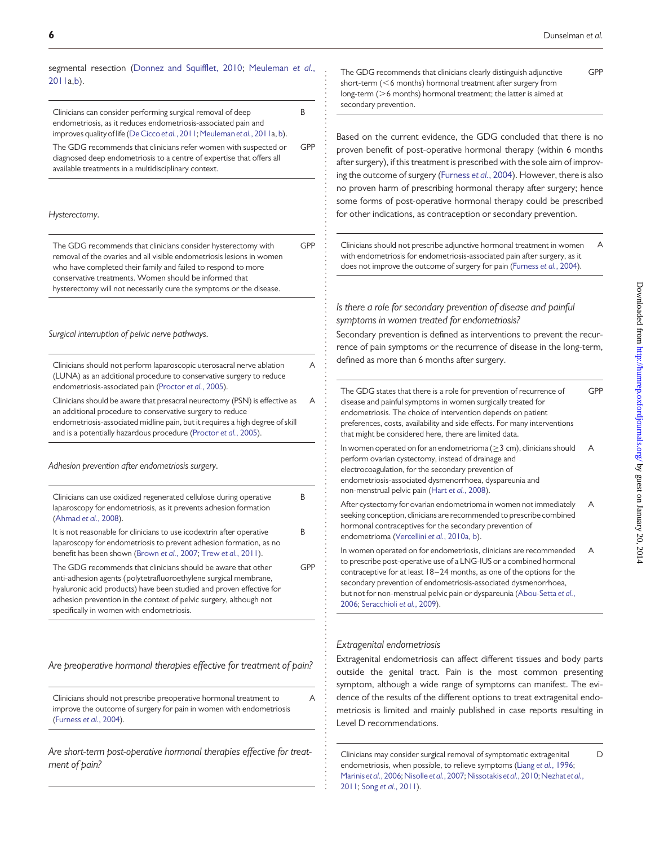GPP

segmental resection ([Donnez and Squifflet, 2010;](#page-10-0) [Meuleman](#page-11-0) et al., [2011](#page-11-0)a[,b\)](#page-11-0).

Clinicians can consider performing surgical removal of deep endometriosis, as it reduces endometriosis-associated pain and improves quality of life (De Cicco et al., 2011; [Meuleman](#page-11-0) et al., 2011a, [b](#page-11-0)). B

The GDG recommends that clinicians refer women with suspected or diagnosed deep endometriosis to a centre of expertise that offers all available treatments in a multidisciplinary context. GPP

#### Hysterectomy.

The GDG recommends that clinicians consider hysterectomy with removal of the ovaries and all visible endometriosis lesions in women who have completed their family and failed to respond to more conservative treatments. Women should be informed that hysterectomy will not necessarily cure the symptoms or the disease. GPP

Surgical interruption of pelvic nerve pathways.

Clinicians should not perform laparoscopic uterosacral nerve ablation (LUNA) as an additional procedure to conservative surgery to reduce endometriosis-associated pain ([Proctor](#page-11-0) et al., 2005).

Clinicians should be aware that presacral neurectomy (PSN) is effective as an additional procedure to conservative surgery to reduce endometriosis-associated midline pain, but it requires a high degree of skill and is a potentially hazardous procedure [\(Proctor](#page-11-0) et al., 2005).

Adhesion prevention after endometriosis surgery.

Clinicians can use oxidized regenerated cellulose during operative laparoscopy for endometriosis, as it prevents adhesion formation ([Ahmad](#page-9-0) et al., 2008).

It is not reasonable for clinicians to use icodextrin after operative laparoscopy for endometriosis to prevent adhesion formation, as no benefit has been shown ([Brown](#page-10-0) et al., 2007; Trew et al.[, 2011\)](#page-12-0).

The GDG recommends that clinicians should be aware that other anti-adhesion agents (polytetrafluoroethylene surgical membrane, hyaluronic acid products) have been studied and proven effective for adhesion prevention in the context of pelvic surgery, although not specifically in women with endometriosis.

Are preoperative hormonal therapies effective for treatment of pain?

Clinicians should not prescribe preoperative hormonal treatment to improve the outcome of surgery for pain in women with endometriosis ([Furness](#page-10-0) et al., 2004).

Are short-term post-operative hormonal therapies effective for treatment of pain?

The GDG recommends that clinicians clearly distinguish adjunctive short-term  $(<$  6 months) hormonal treatment after surgery from long-term ( $>$ 6 months) hormonal treatment; the latter is aimed at secondary prevention.

Based on the current evidence, the GDG concluded that there is no proven benefit of post-operative hormonal therapy (within 6 months after surgery), if this treatment is prescribed with the sole aim of improving the outcome of surgery [\(Furness](#page-10-0) et al., 2004). However, there is also no proven harm of prescribing hormonal therapy after surgery; hence some forms of post-operative hormonal therapy could be prescribed for other indications, as contraception or secondary prevention.

Clinicians should not prescribe adjunctive hormonal treatment in women with endometriosis for endometriosis-associated pain after surgery, as it does not improve the outcome of surgery for pain ([Furness](#page-10-0) et al., 2004). A

Is there a role for secondary prevention of disease and painful symptoms in women treated for endometriosis?

Secondary prevention is defined as interventions to prevent the recurrence of pain symptoms or the recurrence of disease in the long-term, defined as more than 6 months after surgery.

The GDG states that there is a role for prevention of recurrence of disease and painful symptoms in women surgically treated for endometriosis. The choice of intervention depends on patient preferences, costs, availability and side effects. For many interventions that might be considered here, there are limited data. GPP

In women operated on for an endometrioma ( $\geq$ 3 cm), clinicians should perform ovarian cystectomy, instead of drainage and electrocoagulation, for the secondary prevention of endometriosis-associated dysmenorrhoea, dyspareunia and non-menstrual pelvic pain (Hart et al.[, 2008](#page-10-0)). A

After cystectomy for ovarian endometrioma in women not immediately seeking conception, clinicians are recommended to prescribe combined hormonal contraceptives for the secondary prevention of endometrioma [\(Vercellini](#page-12-0) et al., 2010a, [b](#page-12-0)). A

In women operated on for endometriosis, clinicians are recommended to prescribe post-operative use of a LNG-IUS or a combined hormonal contraceptive for at least 18–24 months, as one of the options for the secondary prevention of endometriosis-associated dysmenorrhoea, but not for non-menstrual pelvic pain or dyspareunia [\(Abou-Setta](#page-9-0) et al., [2006;](#page-9-0) [Seracchioli](#page-12-0) et al., 2009). A

#### Extragenital endometriosis

A

A

B

B

**GPF** 

A

Extragenital endometriosis can affect different tissues and body parts outside the genital tract. Pain is the most common presenting symptom, although a wide range of symptoms can manifest. The evidence of the results of the different options to treat extragenital endometriosis is limited and mainly published in case reports resulting in Level D recommendations.

Clinicians may consider surgical removal of symptomatic extragenital endometriosis, when possible, to relieve symptoms (Liang et al.[, 1996;](#page-11-0) [Marinis](#page-11-0) et al., 2006; [Nisolle](#page-11-0) et al., 2007; [Nissotakis](#page-11-0) et al., 2010; [Nezhat](#page-11-0) et al., [2011;](#page-11-0) Song et al.[, 2011\)](#page-12-0).

 $\Box$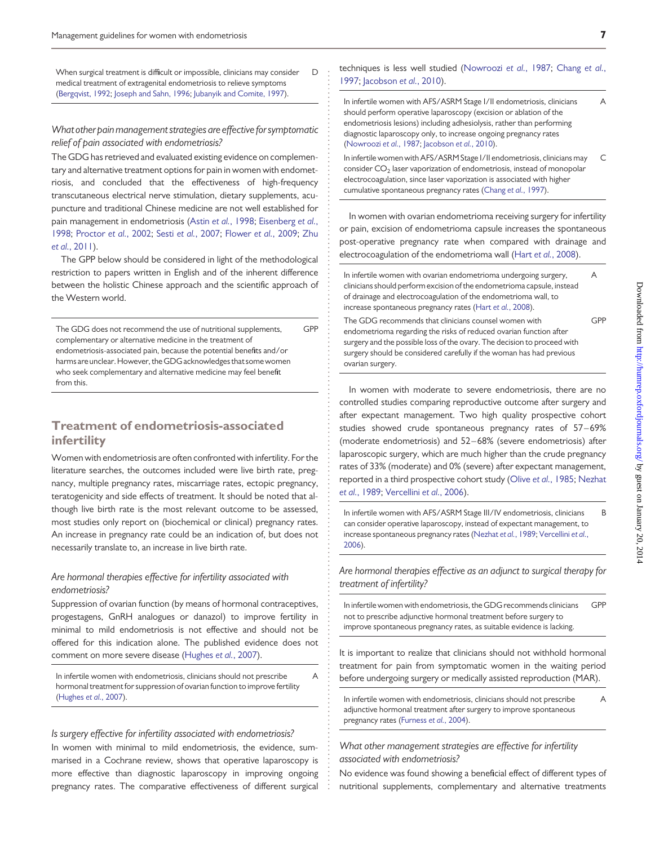When surgical treatment is difficult or impossible, clinicians may consider medical treatment of extragenital endometriosis to relieve symptoms ([Bergqvist, 1992](#page-9-0); [Joseph and Sahn, 1996;](#page-11-0) [Jubanyik and Comite, 1997\)](#page-11-0). D

What other pain management strategies are effective for symptomatic relief of pain associated with endometriosis?

The GDG has retrieved and evaluated existing evidence on complementary and alternative treatment options for pain in women with endometriosis, and concluded that the effectiveness of high-frequency transcutaneous electrical nerve stimulation, dietary supplements, acupuncture and traditional Chinese medicine are not well established for pain management in endometriosis (Astin et al.[, 1998;](#page-9-0) [Eisenberg](#page-10-0) et al., [1998](#page-10-0); [Proctor](#page-11-0) et al., 2002; Sesti et al.[, 2007;](#page-12-0) [Flower](#page-10-0) et al., 2009; [Zhu](#page-12-0) et al.[, 2011\)](#page-12-0).

The GPP below should be considered in light of the methodological restriction to papers written in English and of the inherent difference between the holistic Chinese approach and the scientific approach of the Western world.

The GDG does not recommend the use of nutritional supplements, complementary or alternative medicine in the treatment of endometriosis-associated pain, because the potential benefits and/or harms areunclear. However, the GDG acknowledges that somewomen who seek complementary and alternative medicine may feel benefit from this. GPP

#### Treatment of endometriosis-associated infertility

Women with endometriosis are often confronted with infertility. For the literature searches, the outcomes included were live birth rate, pregnancy, multiple pregnancy rates, miscarriage rates, ectopic pregnancy, teratogenicity and side effects of treatment. It should be noted that although live birth rate is the most relevant outcome to be assessed, most studies only report on (biochemical or clinical) pregnancy rates. An increase in pregnancy rate could be an indication of, but does not necessarily translate to, an increase in live birth rate.

#### Are hormonal therapies effective for infertility associated with endometriosis?

Suppression of ovarian function (by means of hormonal contraceptives, progestagens, GnRH analogues or danazol) to improve fertility in minimal to mild endometriosis is not effective and should not be offered for this indication alone. The published evidence does not comment on more severe disease ([Hughes](#page-10-0) et al., 2007).

In infertile women with endometriosis, clinicians should not prescribe hormonal treatment for suppression of ovarian function to improve fertility ([Hughes](#page-10-0) et al., 2007). A

#### Is surgery effective for infertility associated with endometriosis?

In women with minimal to mild endometriosis, the evidence, summarised in a Cochrane review, shows that operative laparoscopy is more effective than diagnostic laparoscopy in improving ongoing pregnancy rates. The comparative effectiveness of different surgical

techniques is less well studied ([Nowroozi](#page-11-0) et al., 1987; [Chang](#page-10-0) et al., [1997](#page-10-0); [Jacobson](#page-10-0) et al., 2010).

In infertile women with AFS/ASRM Stage I/II endometriosis, clinicians should perform operative laparoscopy (excision or ablation of the endometriosis lesions) including adhesiolysis, rather than performing diagnostic laparoscopy only, to increase ongoing pregnancy rates [\(Nowroozi](#page-11-0) et al., 1987; [Jacobson](#page-10-0) et al., 2010). A In infertile women with AFS/ASRM Stage I/II endometriosis, clinicians may  $\subset$ 

consider  $CO<sub>2</sub>$  laser vaporization of endometriosis, instead of monopolar electrocoagulation, since laser vaporization is associated with higher cumulative spontaneous pregnancy rates ([Chang](#page-10-0) et al., 1997).

In women with ovarian endometrioma receiving surgery for infertility or pain, excision of endometrioma capsule increases the spontaneous post-operative pregnancy rate when compared with drainage and electrocoagulation of the endometrioma wall (Hart et al.[, 2008](#page-10-0)).

In infertile women with ovarian endometrioma undergoing surgery, clinicians should perform excision of the endometrioma capsule, instead of drainage and electrocoagulation of the endometrioma wall, to increase spontaneous pregnancy rates (Hart et al.[, 2008\)](#page-10-0).

The GDG recommends that clinicians counsel women with endometrioma regarding the risks of reduced ovarian function after surgery and the possible loss of the ovary. The decision to proceed with surgery should be considered carefully if the woman has had previous ovarian surgery.

In women with moderate to severe endometriosis, there are no controlled studies comparing reproductive outcome after surgery and after expectant management. Two high quality prospective cohort studies showed crude spontaneous pregnancy rates of 57–69% (moderate endometriosis) and 52 –68% (severe endometriosis) after laparoscopic surgery, which are much higher than the crude pregnancy rates of 33% (moderate) and 0% (severe) after expectant management, reported in a third prospective cohort study (Olive et al.[, 1985;](#page-11-0) [Nezhat](#page-11-0) et al.[, 1989](#page-11-0); [Vercellini](#page-12-0) et al., 2006).

In infertile women with AFS/ASRM Stage III/IV endometriosis, clinicians can consider operative laparoscopy, instead of expectant management, to increase spontaneous pregnancy rates [\(Nezhat](#page-11-0) et al., 1989; [Vercellini](#page-12-0) et al., [2006](#page-12-0)). B

Are hormonal therapies effective as an adjunct to surgical therapy for treatment of infertility?

In infertile women with endometriosis, the GDG recommends clinicians not to prescribe adjunctive hormonal treatment before surgery to improve spontaneous pregnancy rates, as suitable evidence is lacking. GPP

It is important to realize that clinicians should not withhold hormonal treatment for pain from symptomatic women in the waiting period before undergoing surgery or medically assisted reproduction (MAR).

In infertile women with endometriosis, clinicians should not prescribe adjunctive hormonal treatment after surgery to improve spontaneous pregnancy rates [\(Furness](#page-10-0) et al., 2004). A

What other management strategies are effective for infertility associated with endometriosis?

No evidence was found showing a beneficial effect of different types of nutritional supplements, complementary and alternative treatments

A

GPP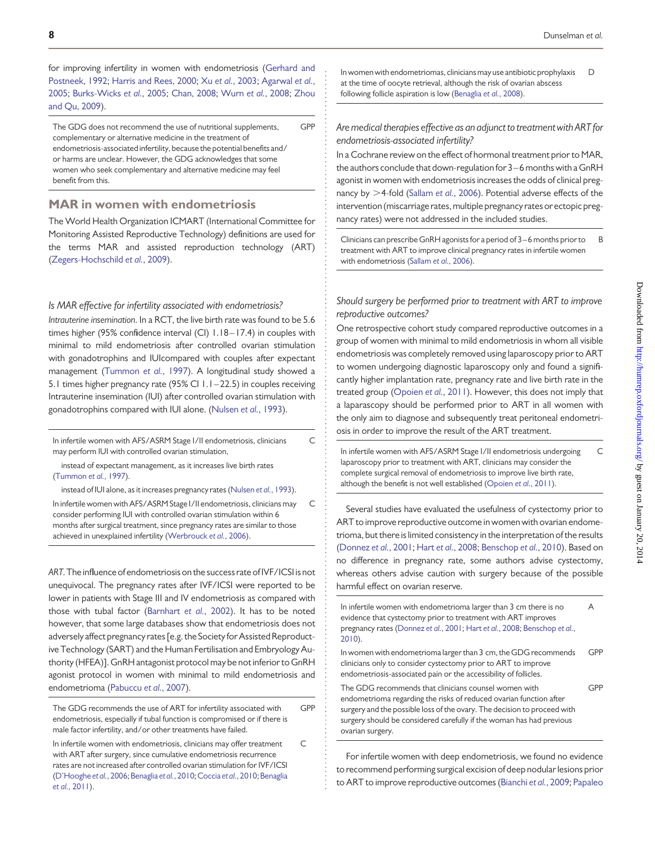for improving infertility in women with endometriosis [\(Gerhard and](#page-10-0) [Postneek, 1992](#page-10-0); [Harris and Rees, 2000;](#page-10-0) Xu et al.[, 2003](#page-12-0); [Agarwal](#page-9-0) et al., [2005](#page-9-0); [Burks-Wicks](#page-10-0) et al., 2005; [Chan, 2008](#page-10-0); Wurn et al.[, 2008;](#page-12-0) [Zhou](#page-12-0) [and Qu, 2009](#page-12-0)).

The GDG does not recommend the use of nutritional supplements, complementary or alternative medicine in the treatment of endometriosis-associated infertility, because the potential benefits and/ or harms are unclear. However, the GDG acknowledges that some women who seek complementary and alternative medicine may feel benefit from this. GPP

#### MAR in women with endometriosis

The World Health Organization ICMART (International Committee for Monitoring Assisted Reproductive Technology) definitions are used for the terms MAR and assisted reproduction technology (ART) [\(Zegers-Hochschild](#page-12-0) et al., 2009).

#### Is MAR effective for infertility associated with endometriosis?

Intrauterine insemination. In a RCT, the live birth rate was found to be 5.6 times higher (95% confidence interval (CI) 1.18 – 17.4) in couples with minimal to mild endometriosis after controlled ovarian stimulation with gonadotrophins and IUIcompared with couples after expectant management ([Tummon](#page-12-0) et al., 1997). A longitudinal study showed a 5.1 times higher pregnancy rate (95% CI 1.1– 22.5) in couples receiving Intrauterine insemination (IUI) after controlled ovarian stimulation with gonadotrophins compared with IUI alone. ([Nulsen](#page-11-0) et al., 1993).

In infertile women with AFS/ASRM Stage I/II endometriosis, clinicians may perform IUI with controlled ovarian stimulation,

C

C

 $\subset$ 

instead of expectant management, as it increases live birth rates ([Tummon](#page-12-0) et al., 1997).

instead of IUI alone, as it increases pregnancy rates ([Nulsen](#page-11-0) et al., 1993).

In infertile women with AFS/ASRM Stage I/II endometriosis, clinicians may consider performing IUI with controlled ovarian stimulation within 6 months after surgical treatment, since pregnancy rates are similar to those achieved in unexplained infertility [\(Werbrouck](#page-12-0) et al., 2006).

ART. The influence of endometriosis on the success rate of IVF/ICSI is not unequivocal. The pregnancy rates after IVF/ICSI were reported to be lower in patients with Stage III and IV endometriosis as compared with those with tubal factor ([Barnhart](#page-9-0) et al., 2002). It has to be noted however, that some large databases show that endometriosis does not adversely affect pregnancy rates [e.g. the Society for Assisted Reproductive Technology (SART) and the Human Fertilisation and Embryology Authority (HFEA)]. GnRH antagonist protocol may be not inferior to GnRH agonist protocol in women with minimal to mild endometriosis and endometrioma [\(Pabuccu](#page-11-0) et al., 2007).

In women with endometriomas, cliniciansmay use antibiotic prophylaxis at the time of oocyte retrieval, although the risk of ovarian abscess following follicle aspiration is low ([Benaglia](#page-9-0) et al., 2008). D

#### Are medical therapies effective as an adjunct to treatment with ART for endometriosis-associated infertility?

In a Cochrane review on the effect of hormonal treatment prior to MAR, the authors conclude that down-regulation for 3–6 months with a GnRH agonist in women with endometriosis increases the odds of clinical pregnancy by  $>$ 4-fold (Sallam et al.[, 2006\)](#page-12-0). Potential adverse effects of the intervention (miscarriage rates, multiple pregnancy rates or ectopic pregnancy rates) were not addressed in the included studies.

Clinicians can prescribe GnRH agonists for a period of 3 –6 months prior to treatment with ART to improve clinical pregnancy rates in infertile women with endometriosis [\(Sallam](#page-12-0) et al., 2006). B

#### Should surgery be performed prior to treatment with ART to improve reproductive outcomes?

One retrospective cohort study compared reproductive outcomes in a group of women with minimal to mild endometriosis in whom all visible endometriosis was completely removed using laparoscopy prior to ART to women undergoing diagnostic laparoscopy only and found a significantly higher implantation rate, pregnancy rate and live birth rate in the treated group [\(Opoien](#page-11-0) et al., 2011). However, this does not imply that a laparascopy should be performed prior to ART in all women with the only aim to diagnose and subsequently treat peritoneal endometriosis in order to improve the result of the ART treatment.

In infertile women with AFS/ASRM Stage I/II endometriosis undergoing laparoscopy prior to treatment with ART, clinicians may consider the complete surgical removal of endometriosis to improve live birth rate, although the benefit is not well established ([Opoien](#page-11-0) et al., 2011).

Several studies have evaluated the usefulness of cystectomy prior to ART to improve reproductive outcome in women with ovarian endometrioma, but there is limited consistency in the interpretation of the results ([Donnez](#page-10-0) et al., 2001; Hart et al.[, 2008](#page-10-0); [Benschop](#page-9-0) et al., 2010). Based on no difference in pregnancy rate, some authors advise cystectomy, whereas others advise caution with surgery because of the possible harmful effect on ovarian reserve.

In infertile women with endometrioma larger than 3 cm there is no evidence that cystectomy prior to treatment with ART improves pregnancy rates ([Donnez](#page-10-0) et al., 2001; Hart et al.[, 2008](#page-10-0); [Benschop](#page-9-0) et al., [2010\)](#page-9-0). A

In women with endometrioma larger than 3 cm, the GDG recommends clinicians only to consider cystectomy prior to ART to improve endometriosis-associated pain or the accessibility of follicles. GPP

The GDG recommends that clinicians counsel women with endometrioma regarding the risks of reduced ovarian function after surgery and the possible loss of the ovary. The decision to proceed with surgery should be considered carefully if the woman has had previous ovarian surgery. GPP

For infertile women with deep endometriosis, we found no evidence to recommend performing surgical excision of deep nodular lesions prior to ART to improve reproductive outcomes [\(Bianchi](#page-10-0) et al., 2009; [Papaleo](#page-11-0)

C

The GDG recommends the use of ART for infertility associated with endometriosis, especially if tubal function is compromised or if there is male factor infertility, and/or other treatments have failed. GPP

In infertile women with endometriosis, clinicians may offer treatment with ART after surgery, since cumulative endometriosis recurrence rates are not increased after controlled ovarian stimulation for IVF/ICSI ([D'Hooghe](#page-10-0) et al., 2006; [Benaglia](#page-9-0) et al., 2010;[Coccia](#page-10-0) et al., 2010; [Benaglia](#page-9-0) et al.[, 2011\)](#page-9-0).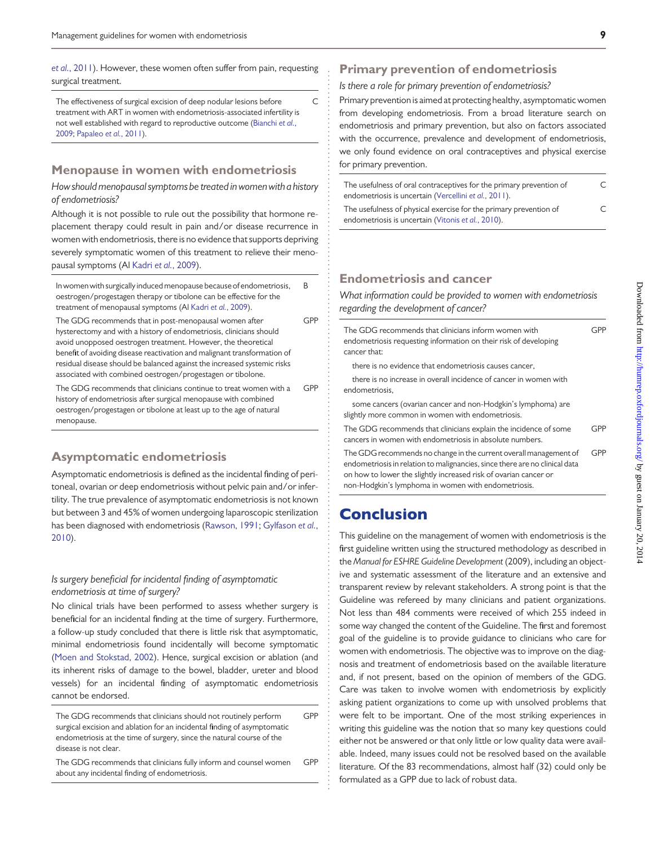et al.[, 2011\)](#page-11-0). However, these women often suffer from pain, requesting surgical treatment.

The effectiveness of surgical excision of deep nodular lesions before treatment with ART in women with endometriosis-associated infertility is not well established with regard to reproductive outcome ([Bianchi](#page-10-0) et al., [2009](#page-10-0); [Papaleo](#page-11-0) et al., 2011). C

#### Menopause in women with endometriosis

How should menopausal symptoms be treated in women with a history of endometriosis?

Although it is not possible to rule out the possibility that hormone replacement therapy could result in pain and/or disease recurrence in women with endometriosis, there is no evidence that supports depriving severely symptomatic women of this treatment to relieve their menopausal symptoms (Al Kadri et al.[, 2009](#page-9-0)).

In women with surgically induced menopause because of endometriosis, oestrogen/progestagen therapy or tibolone can be effective for the treatment of menopausal symptoms (Al Kadri et al.[, 2009\)](#page-9-0). B

The GDG recommends that in post-menopausal women after hysterectomy and with a history of endometriosis, clinicians should avoid unopposed oestrogen treatment. However, the theoretical benefit of avoiding disease reactivation and malignant transformation of residual disease should be balanced against the increased systemic risks associated with combined oestrogen/progestagen or tibolone.

The GDG recommends that clinicians continue to treat women with a history of endometriosis after surgical menopause with combined oestrogen/progestagen or tibolone at least up to the age of natural menopause. GPP

#### Asymptomatic endometriosis

Asymptomatic endometriosis is defined as the incidental finding of peritoneal, ovarian or deep endometriosis without pelvic pain and/or infertility. The true prevalence of asymptomatic endometriosis is not known but between 3 and 45% of women undergoing laparoscopic sterilization has been diagnosed with endometriosis ([Rawson, 1991](#page-12-0); [Gylfason](#page-10-0) et al., [2010](#page-10-0)).

#### Is surgery beneficial for incidental finding of asymptomatic endometriosis at time of surgery?

No clinical trials have been performed to assess whether surgery is beneficial for an incidental finding at the time of surgery. Furthermore, a follow-up study concluded that there is little risk that asymptomatic, minimal endometriosis found incidentally will become symptomatic [\(Moen and Stokstad, 2002\)](#page-11-0). Hence, surgical excision or ablation (and its inherent risks of damage to the bowel, bladder, ureter and blood vessels) for an incidental finding of asymptomatic endometriosis cannot be endorsed.

#### Primary prevention of endometriosis

#### Is there a role for primary prevention of endometriosis?

Primary prevention is aimed at protecting healthy, asymptomatic women from developing endometriosis. From a broad literature search on endometriosis and primary prevention, but also on factors associated with the occurrence, prevalence and development of endometriosis, we only found evidence on oral contraceptives and physical exercise for primary prevention.

| The usefulness of oral contraceptives for the primary prevention of<br>endometriosis is uncertain (Vercellini et al., 2011). |  |
|------------------------------------------------------------------------------------------------------------------------------|--|
| The usefulness of physical exercise for the primary prevention of<br>endometriosis is uncertain (Vitonis et al., 2010).      |  |
|                                                                                                                              |  |

#### Endometriosis and cancer

What information could be provided to women with endometriosis regarding the development of cancer?

The GDG recommends that clinicians inform women with endometriosis requesting information on their risk of developing cancer that: GPP

there is no evidence that endometriosis causes cancer,

there is no increase in overall incidence of cancer in women with endometriosis,

some cancers (ovarian cancer and non-Hodgkin's lymphoma) are slightly more common in women with endometriosis.

The GDG recommends that clinicians explain the incidence of some cancers in women with endometriosis in absolute numbers. GPP

The GDG recommends no change in the current overall management of endometriosis in relation to malignancies, since there are no clinical data on how to lower the slightly increased risk of ovarian cancer or non-Hodgkin's lymphoma in women with endometriosis. GPP

## **Conclusion**

GPP

This guideline on the management of women with endometriosis is the first guideline written using the structured methodology as described in the Manual for ESHRE Guideline Development (2009), including an objective and systematic assessment of the literature and an extensive and transparent review by relevant stakeholders. A strong point is that the Guideline was refereed by many clinicians and patient organizations. Not less than 484 comments were received of which 255 indeed in some way changed the content of the Guideline. The first and foremost goal of the guideline is to provide guidance to clinicians who care for women with endometriosis. The objective was to improve on the diagnosis and treatment of endometriosis based on the available literature and, if not present, based on the opinion of members of the GDG. Care was taken to involve women with endometriosis by explicitly asking patient organizations to come up with unsolved problems that were felt to be important. One of the most striking experiences in writing this guideline was the notion that so many key questions could either not be answered or that only little or low quality data were available. Indeed, many issues could not be resolved based on the available literature. Of the 83 recommendations, almost half (32) could only be formulated as a GPP due to lack of robust data.

The GDG recommends that clinicians should not routinely perform surgical excision and ablation for an incidental finding of asymptomatic endometriosis at the time of surgery, since the natural course of the disease is not clear. GPP

The GDG recommends that clinicians fully inform and counsel women about any incidental finding of endometriosis. GPP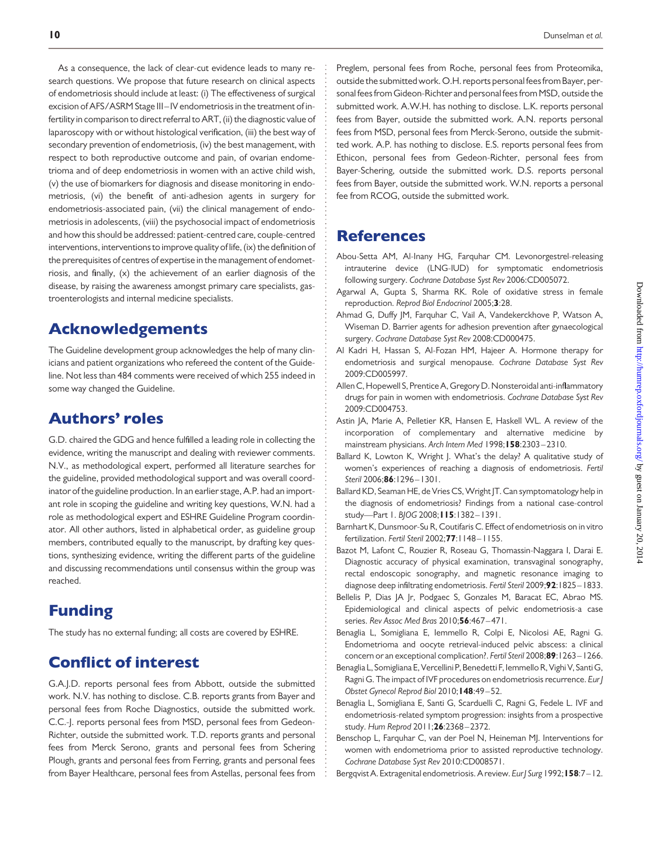<span id="page-9-0"></span>As a consequence, the lack of clear-cut evidence leads to many research questions. We propose that future research on clinical aspects of endometriosis should include at least: (i) The effectiveness of surgical excision of AFS/ASRM Stage III-IV endometriosis in the treatment of infertility in comparison to direct referral to ART, (ii) the diagnostic value of laparoscopy with or without histological verification, (iii) the best way of secondary prevention of endometriosis, (iv) the best management, with respect to both reproductive outcome and pain, of ovarian endometrioma and of deep endometriosis in women with an active child wish, (v) the use of biomarkers for diagnosis and disease monitoring in endometriosis, (vi) the benefit of anti-adhesion agents in surgery for endometriosis-associated pain, (vii) the clinical management of endometriosis in adolescents, (viii) the psychosocial impact of endometriosis and how this should be addressed: patient-centred care, couple-centred interventions, interventions to improve quality of life, (ix) the definition of the prerequisites of centres of expertise in the management of endometriosis, and finally, (x) the achievement of an earlier diagnosis of the disease, by raising the awareness amongst primary care specialists, gastroenterologists and internal medicine specialists.

## Acknowledgements

The Guideline development group acknowledges the help of many clinicians and patient organizations who refereed the content of the Guideline. Not less than 484 comments were received of which 255 indeed in some way changed the Guideline.

## Authors' roles

G.D. chaired the GDG and hence fulfilled a leading role in collecting the evidence, writing the manuscript and dealing with reviewer comments. N.V., as methodological expert, performed all literature searches for the guideline, provided methodological support and was overall coordinator of the guideline production. In an earlier stage, A.P. had an important role in scoping the guideline and writing key questions, W.N. had a role as methodological expert and ESHRE Guideline Program coordinator. All other authors, listed in alphabetical order, as guideline group members, contributed equally to the manuscript, by drafting key questions, synthesizing evidence, writing the different parts of the guideline and discussing recommendations until consensus within the group was reached.

## Funding

The study has no external funding; all costs are covered by ESHRE.

## Conflict of interest

G.A.J.D. reports personal fees from Abbott, outside the submitted work. N.V. has nothing to disclose. C.B. reports grants from Bayer and personal fees from Roche Diagnostics, outside the submitted work. C.C.-J. reports personal fees from MSD, personal fees from Gedeon-Richter, outside the submitted work. T.D. reports grants and personal fees from Merck Serono, grants and personal fees from Schering Plough, grants and personal fees from Ferring, grants and personal fees from Bayer Healthcare, personal fees from Astellas, personal fees from

Preglem, personal fees from Roche, personal fees from Proteomika, outside the submitted work. O.H. reports personal fees from Bayer, personal fees from Gideon-Richter and personal fees from MSD, outside the submitted work. A.W.H. has nothing to disclose. L.K. reports personal fees from Bayer, outside the submitted work. A.N. reports personal fees from MSD, personal fees from Merck-Serono, outside the submitted work. A.P. has nothing to disclose. E.S. reports personal fees from Ethicon, personal fees from Gedeon-Richter, personal fees from Bayer-Schering, outside the submitted work. D.S. reports personal fees from Bayer, outside the submitted work. W.N. reports a personal fee from RCOG, outside the submitted work.

## **References**

- Abou-Setta AM, Al-Inany HG, Farquhar CM. Levonorgestrel-releasing intrauterine device (LNG-IUD) for symptomatic endometriosis following surgery. Cochrane Database Syst Rev 2006:CD005072.
- Agarwal A, Gupta S, Sharma RK. Role of oxidative stress in female reproduction. Reprod Biol Endocrinol 2005;3:28.
- Ahmad G, Duffy JM, Farquhar C, Vail A, Vandekerckhove P, Watson A, Wiseman D. Barrier agents for adhesion prevention after gynaecological surgery. Cochrane Database Syst Rev 2008:CD000475.
- Al Kadri H, Hassan S, Al-Fozan HM, Hajeer A. Hormone therapy for endometriosis and surgical menopause. Cochrane Database Syst Rev 2009:CD005997.
- Allen C, Hopewell S, Prentice A, Gregory D. Nonsteroidal anti-inflammatory drugs for pain in women with endometriosis. Cochrane Database Syst Rev 2009:CD004753.
- Astin JA, Marie A, Pelletier KR, Hansen E, Haskell WL. A review of the incorporation of complementary and alternative medicine by mainstream physicians. Arch Intern Med 1998; **158**:2303-2310.
- Ballard K, Lowton K, Wright J. What's the delay? A qualitative study of women's experiences of reaching a diagnosis of endometriosis. Fertil Steril 2006;86:1296-1301.
- Ballard KD, Seaman HE, de Vries CS,Wright JT. Can symptomatology help in the diagnosis of endometriosis? Findings from a national case-control study-Part 1. B|OG 2008; 115:1382-1391.
- Barnhart K, Dunsmoor-Su R, Coutifaris C. Effect of endometriosis on in vitro fertilization. Fertil Steril 2002:77:1148-1155.
- Bazot M, Lafont C, Rouzier R, Roseau G, Thomassin-Naggara I, Darai E. Diagnostic accuracy of physical examination, transvaginal sonography, rectal endoscopic sonography, and magnetic resonance imaging to diagnose deep infiltrating endometriosis. Fertil Steril 2009;92:1825– 1833.
- Bellelis P, Dias JA Jr, Podgaec S, Gonzales M, Baracat EC, Abrao MS. Epidemiological and clinical aspects of pelvic endometriosis-a case series. Rev Assoc Med Bras 2010;56:467-471.
- Benaglia L, Somigliana E, Iemmello R, Colpi E, Nicolosi AE, Ragni G. Endometrioma and oocyte retrieval-induced pelvic abscess: a clinical concern or an exceptional complication?. Fertil Steril 2008;89:1263– 1266.
- Benaglia L, Somigliana E, Vercellini P, Benedetti F, Iemmello R, Vighi V, Santi G, Ragni G. The impact of IVF procedures on endometriosis recurrence. Eur J Obstet Gynecol Reprod Biol 2010; 148:49-52.
- Benaglia L, Somigliana E, Santi G, Scarduelli C, Ragni G, Fedele L. IVF and endometriosis-related symptom progression: insights from a prospective study. Hum Reprod 2011;26:2368-2372.
- Benschop L, Farquhar C, van der Poel N, Heineman MJ. Interventions for women with endometrioma prior to assisted reproductive technology. Cochrane Database Syst Rev 2010:CD008571.
- Bergqvist A. Extragenital endometriosis. A review. Eur J Surg 1992; **158**:7 12.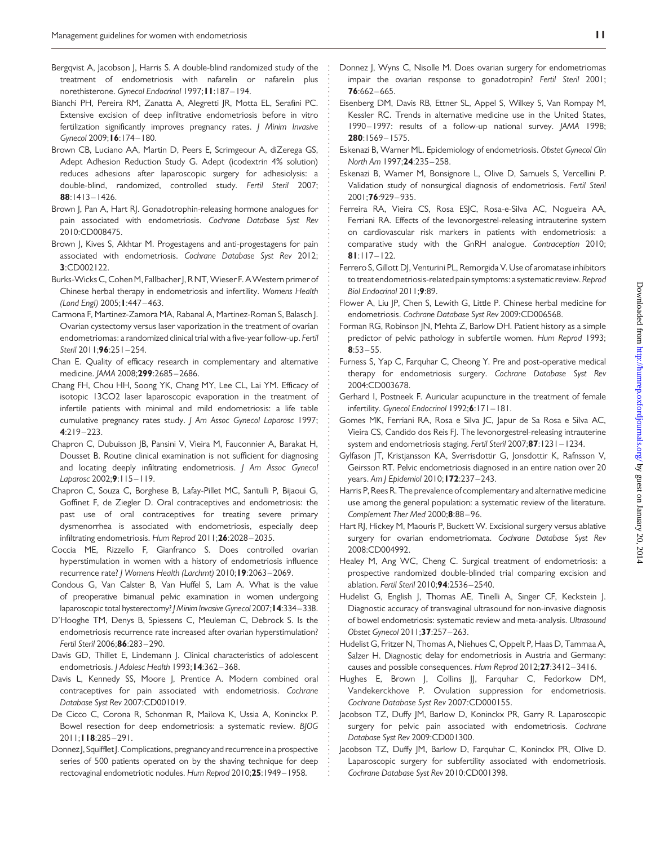- <span id="page-10-0"></span>Bergqvist A, Jacobson J, Harris S. A double-blind randomized study of the treatment of endometriosis with nafarelin or nafarelin plus norethisterone. Gynecol Endocrinol 1997; I I:187-194.
- Bianchi PH, Pereira RM, Zanatta A, Alegretti JR, Motta EL, Serafini PC. Extensive excision of deep infiltrative endometriosis before in vitro fertilization significantly improves pregnancy rates. J Minim Invasive Gynecol 2009: **16:** 174 – 180.
- Brown CB, Luciano AA, Martin D, Peers E, Scrimgeour A, diZerega GS, Adept Adhesion Reduction Study G. Adept (icodextrin 4% solution) reduces adhesions after laparoscopic surgery for adhesiolysis: a double-blind, randomized, controlled study. Fertil Steril 2007; 88:1413– 1426.
- Brown J, Pan A, Hart RJ. Gonadotrophin-releasing hormone analogues for pain associated with endometriosis. Cochrane Database Syst Rev 2010:CD008475.
- Brown J, Kives S, Akhtar M. Progestagens and anti-progestagens for pain associated with endometriosis. Cochrane Database Syst Rev 2012; 3:CD002122.
- Burks-Wicks C, Cohen M, Fallbacher J, RNT, Wieser F. A Western primer of Chinese herbal therapy in endometriosis and infertility. Womens Health (Lond Engl) 2005;1:447 – 463.
- Carmona F, Martinez-Zamora MA, Rabanal A, Martinez-Roman S, Balasch J. Ovarian cystectomy versus laser vaporization in the treatment of ovarian endometriomas: a randomized clinical trial with a five-year follow-up. Fertil Steril 2011;96:251-254.
- Chan E. Quality of efficacy research in complementary and alternative medicine. JAMA 2008;299:2685 – 2686.
- Chang FH, Chou HH, Soong YK, Chang MY, Lee CL, Lai YM. Efficacy of isotopic 13CO2 laser laparoscopic evaporation in the treatment of infertile patients with minimal and mild endometriosis: a life table cumulative pregnancy rates study. J Am Assoc Gynecol Laparosc 1997;  $4:219 - 223$ .
- Chapron C, Dubuisson JB, Pansini V, Vieira M, Fauconnier A, Barakat H, Dousset B. Routine clinical examination is not sufficient for diagnosing and locating deeply infiltrating endometriosis. J Am Assoc Gynecol Laparosc 2002;9:115-119.
- Chapron C, Souza C, Borghese B, Lafay-Pillet MC, Santulli P, Bijaoui G, Goffinet F, de Ziegler D. Oral contraceptives and endometriosis: the past use of oral contraceptives for treating severe primary dysmenorrhea is associated with endometriosis, especially deep infiltrating endometriosis. Hum Reprod 2011;26:2028-2035.
- Coccia ME, Rizzello F, Gianfranco S. Does controlled ovarian hyperstimulation in women with a history of endometriosis influence recurrence rate? J Womens Health (Larchmt) 2010;19:2063– 2069.
- Condous G, Van Calster B, Van Huffel S, Lam A. What is the value of preoperative bimanual pelvic examination in women undergoing laparoscopic total hysterectomy? | Minim Invasive Gynecol 2007; | 4:334–338.
- D'Hooghe TM, Denys B, Spiessens C, Meuleman C, Debrock S. Is the endometriosis recurrence rate increased after ovarian hyperstimulation? Fertil Steril 2006;86:283 –290.
- Davis GD, Thillet E, Lindemann J. Clinical characteristics of adolescent endometriosis. J Adolesc Health 1993; 14:362-368.
- Davis L, Kennedy SS, Moore J, Prentice A. Modern combined oral contraceptives for pain associated with endometriosis. Cochrane Database Syst Rev 2007:CD001019.
- De Cicco C, Corona R, Schonman R, Mailova K, Ussia A, Koninckx P. Bowel resection for deep endometriosis: a systematic review. BJOG 2011;118:285 – 291.
- DonnezJ, Squifflet J.Complications, pregnancy and recurrence in a prospective series of 500 patients operated on by the shaving technique for deep rectovaginal endometriotic nodules. Hum Reprod 2010;25:1949–1958.
- Donnez I, Wyns C, Nisolle M, Does ovarian surgery for endometriomas impair the ovarian response to gonadotropin? Fertil Steril 2001;  $76:662 - 665$ .
- Eisenberg DM, Davis RB, Ettner SL, Appel S, Wilkey S, Van Rompay M, Kessler RC. Trends in alternative medicine use in the United States, 1990 – 1997: results of a follow-up national survey. JAMA 1998; 280:1569– 1575.
- Eskenazi B, Warner ML. Epidemiology of endometriosis. Obstet Gynecol Clin North Am 1997;24:235– 258.
- Eskenazi B, Warner M, Bonsignore L, Olive D, Samuels S, Vercellini P. Validation study of nonsurgical diagnosis of endometriosis. Fertil Steril 2001;76:929 – 935.
- Ferreira RA, Vieira CS, Rosa ESJC, Rosa-e-Silva AC, Nogueira AA, Ferriani RA. Effects of the levonorgestrel-releasing intrauterine system on cardiovascular risk markers in patients with endometriosis: a comparative study with the GnRH analogue. Contraception 2010; 81:117– 122.
- Ferrero S, Gillott DJ, Venturini PL, Remorgida V. Use of aromatase inhibitors to treat endometriosis-related pain symptoms: a systematic review. Reprod Biol Endocrinol 2011;9:89.
- Flower A, Liu JP, Chen S, Lewith G, Little P. Chinese herbal medicine for endometriosis. Cochrane Database Syst Rev 2009:CD006568.
- Forman RG, Robinson JN, Mehta Z, Barlow DH. Patient history as a simple predictor of pelvic pathology in subfertile women. Hum Reprod 1993;  $8:53 - 55$ .
- Furness S, Yap C, Farquhar C, Cheong Y. Pre and post-operative medical therapy for endometriosis surgery. Cochrane Database Syst Rev 2004:CD003678.
- Gerhard I, Postneek F. Auricular acupuncture in the treatment of female infertility. Gynecol Endocrinol 1992;6:171 – 181.
- Gomes MK, Ferriani RA, Rosa e Silva JC, Japur de Sa Rosa e Silva AC, Vieira CS, Candido dos Reis FJ. The levonorgestrel-releasing intrauterine system and endometriosis staging. Fertil Steril 2007;87:1231 – 1234.
- Gylfason JT, Kristjansson KA, Sverrisdottir G, Jonsdottir K, Rafnsson V, Geirsson RT. Pelvic endometriosis diagnosed in an entire nation over 20 years. Am | Epidemiol 2010; 172:237-243.
- Harris P, Rees R. The prevalence of complementary and alternative medicine use among the general population: a systematic review of the literature. Complement Ther Med 2000;8:88-96.
- Hart RJ, Hickey M, Maouris P, Buckett W. Excisional surgery versus ablative surgery for ovarian endometriomata. Cochrane Database Syst Rev 2008:CD004992.
- Healey M, Ang WC, Cheng C. Surgical treatment of endometriosis: a prospective randomized double-blinded trial comparing excision and ablation. Fertil Steril 2010;94:2536 – 2540.
- Hudelist G, English J, Thomas AE, Tinelli A, Singer CF, Keckstein J. Diagnostic accuracy of transvaginal ultrasound for non-invasive diagnosis of bowel endometriosis: systematic review and meta-analysis. Ultrasound Obstet Gynecol 2011;37:257-263.
- Hudelist G, Fritzer N, Thomas A, Niehues C, Oppelt P, Haas D, Tammaa A, Salzer H. Diagnostic delay for endometriosis in Austria and Germany: causes and possible consequences. Hum Reprod 2012;27:3412 – 3416.
- Hughes E, Brown J, Collins JJ, Farquhar C, Fedorkow DM, Vandekerckhove P. Ovulation suppression for endometriosis. Cochrane Database Syst Rev 2007:CD000155.
- Jacobson TZ, Duffy JM, Barlow D, Koninckx PR, Garry R. Laparoscopic surgery for pelvic pain associated with endometriosis. Cochrane Database Syst Rev 2009:CD001300.
- Jacobson TZ, Duffy JM, Barlow D, Farquhar C, Koninckx PR, Olive D. Laparoscopic surgery for subfertility associated with endometriosis. Cochrane Database Syst Rev 2010:CD001398.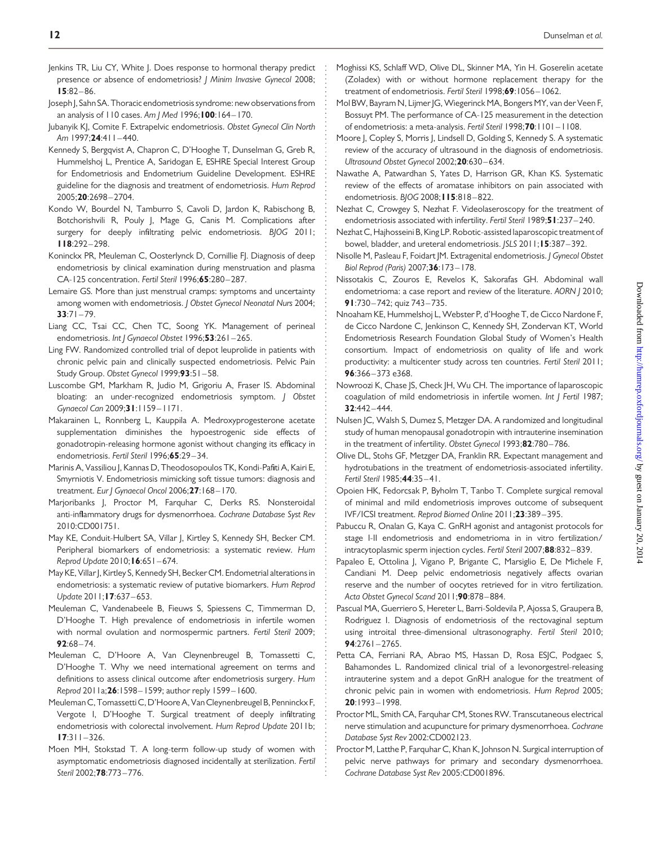- <span id="page-11-0"></span>Jenkins TR, Liu CY, White J. Does response to hormonal therapy predict presence or absence of endometriosis? J Minim Invasive Gynecol 2008;  $15:82 - 86$
- Joseph J, Sahn SA. Thoracic endometriosis syndrome: new observations from an analysis of 110 cases. Am J Med 1996;100:164– 170.
- Jubanyik KJ, Comite F. Extrapelvic endometriosis. Obstet Gynecol Clin North Am 1997:24:411-440.
- Kennedy S, Bergqvist A, Chapron C, D'Hooghe T, Dunselman G, Greb R, Hummelshoj L, Prentice A, Saridogan E, ESHRE Special Interest Group for Endometriosis and Endometrium Guideline Development. ESHRE guideline for the diagnosis and treatment of endometriosis. Hum Reprod 2005;20:2698 – 2704.
- Kondo W, Bourdel N, Tamburro S, Cavoli D, Jardon K, Rabischong B, Botchorishvili R, Pouly J, Mage G, Canis M. Complications after surgery for deeply infiltrating pelvic endometriosis. BJOG 2011; 118:292– 298.
- Koninckx PR, Meuleman C, Oosterlynck D, Cornillie FJ. Diagnosis of deep endometriosis by clinical examination during menstruation and plasma CA-125 concentration. Fertil Steril 1996;65:280-287.
- Lemaire GS. More than just menstrual cramps: symptoms and uncertainty among women with endometriosis. J Obstet Gynecol Neonatal Nurs 2004;  $33:71 - 79.$
- Liang CC, Tsai CC, Chen TC, Soong YK. Management of perineal endometriosis. Int J Gynaecol Obstet 1996;53:261-265.
- Ling FW. Randomized controlled trial of depot leuprolide in patients with chronic pelvic pain and clinically suspected endometriosis. Pelvic Pain Study Group. Obstet Gynecol 1999;93:51-58.
- Luscombe GM, Markham R, Judio M, Grigoriu A, Fraser IS. Abdominal bloating: an under-recognized endometriosis symptom. J Obstet Gynaecol Can 2009;31:1159-1171.
- Makarainen L, Ronnberg L, Kauppila A. Medroxyprogesterone acetate supplementation diminishes the hypoestrogenic side effects of gonadotropin-releasing hormone agonist without changing its efficacy in endometriosis. Fertil Steril 1996;65:29-34.
- Marinis A, Vassiliou J, Kannas D, Theodosopoulos TK, Kondi-Pafiti A, Kairi E, Smyrniotis V. Endometriosis mimicking soft tissue tumors: diagnosis and treatment. Eur J Gynaecol Oncol 2006;27:168-170.
- Marjoribanks J, Proctor M, Farquhar C, Derks RS. Nonsteroidal anti-inflammatory drugs for dysmenorrhoea. Cochrane Database Syst Rev 2010:CD001751.
- May KE, Conduit-Hulbert SA, Villar J, Kirtley S, Kennedy SH, Becker CM. Peripheral biomarkers of endometriosis: a systematic review. Hum Reprod Update 2010;16:651 – 674.
- May KE, Villar J, Kirtley S, Kennedy SH, Becker CM. Endometrial alterations in endometriosis: a systematic review of putative biomarkers. Hum Reprod Update 2011;17:637-653.
- Meuleman C, Vandenabeele B, Fieuws S, Spiessens C, Timmerman D, D'Hooghe T. High prevalence of endometriosis in infertile women with normal ovulation and normospermic partners. Fertil Steril 2009;  $92:68 - 74.$
- Meuleman C, D'Hoore A, Van Cleynenbreugel B, Tomassetti C, D'Hooghe T. Why we need international agreement on terms and definitions to assess clinical outcome after endometriosis surgery. Hum Reprod 2011a; 26:1598 - 1599; author reply 1599 - 1600.
- Meuleman C, TomassettiC, D'Hoore A, VanCleynenbreugel B, Penninckx F, Vergote I, D'Hooghe T. Surgical treatment of deeply infiltrating endometriosis with colorectal involvement. Hum Reprod Update 2011b;  $17:311 - 326$ .
- Moen MH, Stokstad T. A long-term follow-up study of women with asymptomatic endometriosis diagnosed incidentally at sterilization. Fertil Steril 2002;78:773-776.
- Moghissi KS, Schlaff WD, Olive DL, Skinner MA, Yin H. Goserelin acetate (Zoladex) with or without hormone replacement therapy for the treatment of endometriosis. Fertil Steril 1998;69:1056-1062.
- Mol BW, Bayram N, Lijmer JG,Wiegerinck MA, Bongers MY, van der Veen F, Bossuyt PM. The performance of CA-125 measurement in the detection of endometriosis: a meta-analysis. Fertil Steril 1998;70:1101 – 1108.
- Moore J, Copley S, Morris J, Lindsell D, Golding S, Kennedy S. A systematic review of the accuracy of ultrasound in the diagnosis of endometriosis. Ultrasound Obstet Gynecol 2002;20:630 – 634.
- Nawathe A, Patwardhan S, Yates D, Harrison GR, Khan KS. Systematic review of the effects of aromatase inhibitors on pain associated with endometriosis. B/OG 2008; **115**:818-822.
- Nezhat C, Crowgey S, Nezhat F. Videolaseroscopy for the treatment of endometriosis associated with infertility. Fertil Steril 1989;51:237-240.
- NezhatC, Hajhosseini B, King LP. Robotic-assisted laparoscopic treatment of bowel, bladder, and ureteral endometriosis. JSLS 2011; **I5**:387-392.
- Nisolle M, Pasleau F, Foidart JM. Extragenital endometriosis. J Gynecol Obstet Biol Reprod (Paris) 2007;36:173 – 178.
- Nissotakis C, Zouros E, Revelos K, Sakorafas GH. Abdominal wall endometrioma: a case report and review of the literature. AORN J 2010; 91:730 - 742; quiz 743 - 735.
- Nnoaham KE, Hummelshoj L,Webster P, d'Hooghe T, de Cicco Nardone F, de Cicco Nardone C, Jenkinson C, Kennedy SH, Zondervan KT, World Endometriosis Research Foundation Global Study of Women's Health consortium. Impact of endometriosis on quality of life and work productivity: a multicenter study across ten countries. Fertil Steril 2011; 96:366-373 e368.
- Nowroozi K, Chase JS, Check JH, Wu CH. The importance of laparoscopic coagulation of mild endometriosis in infertile women. Int J Fertil 1987; 32:442 – 444.
- Nulsen JC, Walsh S, Dumez S, Metzger DA. A randomized and longitudinal study of human menopausal gonadotropin with intrauterine insemination in the treatment of infertility. Obstet Gynecol 1993;82:780-786.
- Olive DL, Stohs GF, Metzger DA, Franklin RR. Expectant management and hydrotubations in the treatment of endometriosis-associated infertility. Fertil Steril 1985;44:35-41.
- Opoien HK, Fedorcsak P, Byholm T, Tanbo T. Complete surgical removal of minimal and mild endometriosis improves outcome of subsequent IVF/ICSI treatment. Reprod Biomed Online 2011;23:389 – 395.
- Pabuccu R, Onalan G, Kaya C. GnRH agonist and antagonist protocols for stage I-II endometriosis and endometrioma in in vitro fertilization/ intracytoplasmic sperm injection cycles. Fertil Steril 2007;88:832 – 839.
- Papaleo E, Ottolina J, Vigano P, Brigante C, Marsiglio E, De Michele F, Candiani M. Deep pelvic endometriosis negatively affects ovarian reserve and the number of oocytes retrieved for in vitro fertilization. Acta Obstet Gynecol Scand 2011;90:878-884.
- Pascual MA, Guerriero S, Hereter L, Barri-Soldevila P, Ajossa S, Graupera B, Rodriguez I. Diagnosis of endometriosis of the rectovaginal septum using introital three-dimensional ultrasonography. Fertil Steril 2010;  $94:2761 - 2765$ .
- Petta CA, Ferriani RA, Abrao MS, Hassan D, Rosa ESJC, Podgaec S, Bahamondes L. Randomized clinical trial of a levonorgestrel-releasing intrauterine system and a depot GnRH analogue for the treatment of chronic pelvic pain in women with endometriosis. Hum Reprod 2005; 20:1993 – 1998.
- Proctor ML, Smith CA, Farquhar CM, Stones RW. Transcutaneous electrical nerve stimulation and acupuncture for primary dysmenorrhoea. Cochrane Database Syst Rev 2002:CD002123.
- Proctor M, Latthe P, Farquhar C, Khan K, Johnson N. Surgical interruption of pelvic nerve pathways for primary and secondary dysmenorrhoea. Cochrane Database Syst Rev 2005:CD001896.